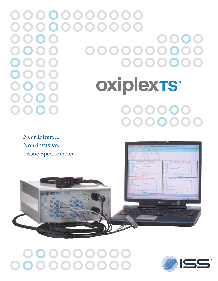oxiplexTS™  $\mathbf{O}$   $\mathbf{O}$ 

Near Infrared, Non-Invasive, Tissue Spectrometer



## 



 $\overline{\mathbf{H}}$  >>  $\overline{\mathbf{H}}$  >